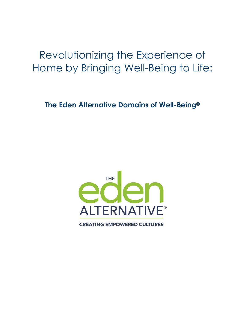# Revolutionizing the Experience of Home by Bringing Well-Being to Life:

**The Eden Alternative Domains of Well-Being®**

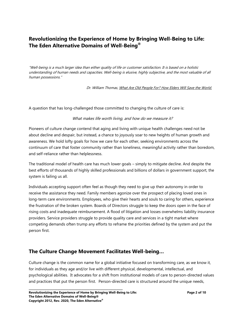# **Revolutionizing the Experience of Home by Bringing Well-Being to Life: The Eden Alternative Domains of Well-Being®**

"Well-being is a much larger idea than either quality of life or customer satisfaction. It is based on a holistic understanding of human needs and capacities. Well-being is elusive, highly subjective, and the most valuable of all human possessions."

Dr. William Thomas, What Are Old People For? How Elders Will Save the World.

A question that has long-challenged those committed to changing the culture of care is:

#### What makes life worth living, and how do we measure it?

Pioneers of culture change contend that aging and living with unique health challenges need not be about decline and despair, but instead, a chance to joyously soar to new heights of human growth and awareness. We hold lofty goals for how we care for each other, seeking environments across the continuum of care that foster community rather than loneliness, meaningful activity rather than boredom, and self-reliance rather than helplessness.

The traditional model of health care has much lower goals – simply to mitigate decline. And despite the best efforts of thousands of highly skilled professionals and billions of dollars in government support, the system is failing us all.

Individuals accepting support often feel as though they need to give up their autonomy in order to receive the assistance they need. Family members agonize over the prospect of placing loved ones in long-term care environments. Employees, who give their hearts and souls to caring for others, experience the frustration of the broken system. Boards of Directors struggle to keep the doors open in the face of rising costs and inadequate reimbursement. A flood of litigation and losses overwhelms liability insurance providers. Service providers struggle to provide quality care and services in a tight market where competing demands often trump any efforts to reframe the priorities defined by the system and put the person first.

## **The Culture Change Movement Facilitates Well-being…**

Culture change is the common name for a global initiative focused on transforming care, as we know it, for individuals as they age and/or live with different physical, developmental, intellectual, and psychological abilities. It advocates for a shift from institutional models of care to person-directed values and practices that put the person first. Person-directed care is structured around the unique needs,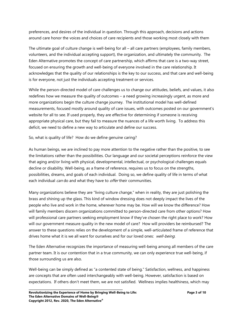preferences, and desires of the individual in question. Through this approach, decisions and actions around care honor the voices and choices of care recipients and those working most closely with them

The ultimate goal of culture change is well-being for all – all care partners (employees, family members, volunteers, and the individual accepting support), the organization, and ultimately the community. The Eden Alternative promotes the concept of care partnership, which affirms that care is a two-way street, focused on ensuring the growth and well-being of everyone involved in the care relationship. It acknowledges that the quality of our relationships is the key to our success, and that care and well-being is for everyone, not just the individuals accepting treatment or services.

While the person-directed model of care challenges us to change our attitudes, beliefs, and values, it also redefines how we measure the quality of outcomes – a need growing increasingly urgent, as more and more organizations begin the culture change journey. The institutional model has well-defined measurements, focused mostly around quality of care issues, with outcomes posted on our government's website for all to see. If used properly, they are effective for determining if someone is receiving appropriate physical care, but they fail to measure the nuances of a life worth living. To address this deficit, we need to define a new way to articulate and define our success.

So, what is quality of life? How do we define genuine caring?

As human beings, we are inclined to pay more attention to the negative rather than the positive, to see the limitations rather than the possibilities. Our language and our societal perceptions reinforce the view that aging and/or living with physical, developmental, intellectual, or psychological challenges equals decline or disability. Well-being, as a frame of reference, requires us to focus on the strengths, possibilities, dreams, and goals of each individual. Doing so, we define quality of life in terms of what each individual *can* do and what they have to *offer* their communities.

Many organizations believe they are "living culture change," when in reality, they are just polishing the brass and shining up the glass. This kind of window dressing does not deeply impact the lives of the people who live and work in the home, wherever home may be. How will we know the difference? How will family members discern organizations committed to person-directed care from other options? How will professional care partners seeking employment know if they've chosen the right place to work? How will our government measure quality in the new model of care? How will providers be reimbursed? The answer to these questions relies on the development of a simple, well-articulated frame of reference that drives home what it is we all want for ourselves and for our loved ones: well-being.

The Eden Alternative recognizes the importance of measuring well-being among all members of the care partner team. It is our contention that in a true community, we can only experience true well-being, if those surrounding us are also.

Well-being can be simply defined as "a contented state of being." Satisfaction, wellness, and happiness are concepts that are often used interchangeably with well-being. However, satisfaction is based on expectations. If others don't meet them, we are not satisfied. Wellness implies healthiness, which may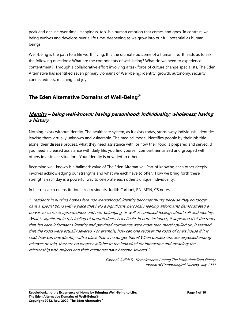peak and decline over time. Happiness, too, is a human emotion that comes and goes. In contrast, wellbeing evolves and develops over a life time, deepening as we grow into our full potential as human beings.

Well-being is the path to a life worth living. It is the ultimate outcome of a human life. It leads us to ask the following questions: What are the components of well-being? What do we need to experience contentment? Through a collaborative effort involving a task force of culture change specialists, The Eden Alternative has identified seven primary Domains of Well-being: identity, growth, autonomy, security, connectedness, meaning and joy.

# **The Eden Alternative Domains of Well-Being®**

## **Identity – being well-known; having personhood; individuality; wholeness; having a history**

Nothing exists without identity. The healthcare system, as it exists today, strips away individuals' identities, leaving them virtually unknown and vulnerable. The medical model identifies people by their job title alone, their disease process, what they need assistance with, or how their food is prepared and served. If you need increased assistance with daily life, you find yourself compartmentalized and grouped with others in a similar situation. Your identity is now tied to others.

Becoming well-known is a hallmark value of The Eden Alternative. Part of knowing each other deeply involves acknowledging our strengths and what we each have to offer. How we bring forth these strengths each day is a powerful way to celebrate each other's unique individuality.

In her research on institutionalized residents, Judith Carboni, RN, MSN, CS notes:

"…residents in nursing homes face non-personhood: identity becomes murky because they no longer have a special bond with a place that held a significant, personal meaning. Informants demonstrated a pervasive sense of uprootedness and non-belonging, as well as confused feelings about self and identity. What is significant in this feeling of uprootedness is its finale. In both instances, it appeared that the roots that fed each informant's identity and provided nurturance were more than merely pulled up; it seemed that the roots were actually severed. For example, how can one recover the roots of one's house if it is sold, how can one identify with a place that is no longer there? When possessions are dispersed among relatives or sold, they are no longer available to the individual for interaction and meaning; the relationship with objects and their memories have become severed."

> Carboni, Judith D., Homelessness Among The Institutionalized Elderly, Journal of Gerontological Nursing, July 1990.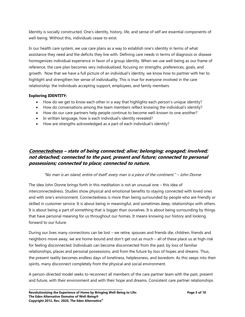Identity is socially constructed. One's identity, history, life, and sense of self are essential components of well-being. Without this, individuals cease to exist.

In our health care system, we use care plans as a way to establish one's identity in terms of what assistance they need and the deficits they live with. Defining care needs in terms of diagnosis or disease homogenizes individual experience in favor of a group identity. When we use well-being as our frame of reference, the care plan becomes very individualized, focusing on strengths, preferences, goals, and growth. Now that we have a full picture of an individual's identity, we know how to partner with her to highlight and strengthen her sense of individuality. This is true for everyone involved in the care relationship: the individuals accepting support, employees, and family members.

#### **Exploring IDENTITY:**

- How do we get to know each other in a way that highlights each person's unique identity?
- How do conversations among the team members reflect knowing the individual's identity?
- How do our care partners help people continue to become well-known to one another?
- In written language, how is each individual's identity revealed?
- How are strengths acknowledged as a part of each individual's identity?

# **Connectedness – state of being connected; alive; belonging; engaged; involved; not detached; connected to the past, present and future; connected to personal possessions; connected to place; connected to nature.**

## "No man is an island, entire of itself: every man is a piece of the continent." – John Donne

The idea John Donne brings forth in this meditation is not an unusual one – this idea of interconnectedness. Studies show physical and emotional benefits to staying connected with loved ones and with one's environment. Connectedness is more than being surrounded by people who are friendly or skilled in customer service. It is about being in meaningful, and sometimes deep, relationships with others. It is about being a part of something that is bigger than ourselves. It is about being surrounding by things that have personal meaning for us throughout our homes. It means knowing our history and looking forward to our future.

During our lives many connections can be lost – we retire, spouses and friends die, children, friends and neighbors move away, we are home-bound and don't get out as much – all of these place us at high-risk for feeling disconnected. Individuals can become disconnected from the past, by loss of familiar relationships, places and personal possessions, and from the future by loss of hopes and dreams. Thus, the present reality becomes endless days of loneliness, helplessness, and boredom. As this seeps into their spirits, many disconnect completely from the physical and social environment.

A person-directed model seeks to reconnect all members of the care partner team with the past, present and future, with their environment and with their hope and dreams. Consistent care partner relationships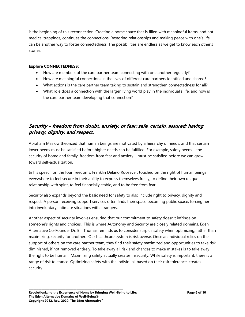is the beginning of this reconnection. Creating a home space that is filled with meaningful items, and not medical trappings, continues the connections. Restoring relationships and making peace with one's life can be another way to foster connectedness. The possibilities are endless as we get to know each other's stories.

#### **Explore CONNECTEDNESS:**

- How are members of the care partner team connecting with one another regularly?
- How are meaningful connections in the lives of different care partners identified and shared?
- What actions is the care partner team taking to sustain and strengthen connectedness for all?
- What role does a connection with the larger living world play in the individual's life, and how is the care partner team developing that connection?

## **Security – freedom from doubt, anxiety, or fear; safe, certain, assured; having privacy, dignity, and respect.**

Abraham Maslow theorized that human beings are motivated by a hierarchy of needs, and that certain lower needs must be satisfied before higher needs can be fulfilled. For example, safety needs – the security of home and family, freedom from fear and anxiety – must be satisfied before we can grow toward self-actualization.

In his speech on the four freedoms, Franklin Delano Roosevelt touched on the right of human beings everywhere to feel secure in their ability to express themselves freely, to define their own unique relationship with spirit, to feel financially stable, and to be free from fear.

Security also expands beyond the basic need for safety to also include right to privacy, dignity and respect. A person receiving support services often finds their space becoming public space, forcing her into involuntary, intimate situations with strangers.

Another aspect of security involves ensuring that our commitment to safety doesn't infringe on someone's rights and choices. This is where Autonomy and Security are closely related domains. Eden Alternative Co-Founder Dr. Bill Thomas reminds us to consider surplus safety when optimizing, rather than maximizing, security for another. Our healthcare system is risk averse. Once an individual relies on the support of others on the care partner team, they find their safety maximized and opportunities to take risk diminished, if not removed entirely. To take away all risk and chances to make mistakes is to take away the right to be human. Maximizing safety actually creates insecurity. While safety is important, there is a range of risk tolerance. Optimizing safety with the individual, based on their risk tolerance, creates security.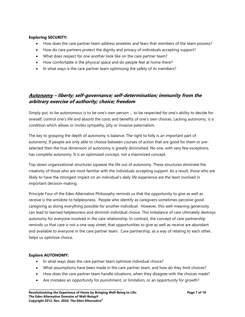#### **Exploring SECURITY:**

- How does the care partner team address anxieties and fears that members of the team possess?
- How do care partners protect the dignity and privacy of individuals accepting support?
- What does respect for one another look like on the care partner team?
- How comfortable is the physical space and do people feel at home there?
- In what ways is the care partner team optimizing the safety of its members?

## **Autonomy – liberty; self-governance; self-determination; immunity from the arbitrary exercise of authority; choice; freedom**

Simply put, to be autonomous is to be one's own person … to be respected for one's ability to decide for oneself, control one's life and absorb the costs and benefits of one's own choices. Lacking autonomy, is a condition which allows or invites sympathy, pity or invasive paternalism.

The key to grasping the depth of autonomy is balance. The right to folly is an important part of autonomy. If people are only able to choose between courses of action that are good for them or preselected then the true dimension of autonomy is greatly diminished. No one, with very few exceptions, has complete autonomy. It is an optimized concept, not a maximized concept.

Top-down organizational structures squeeze the life out of autonomy. These structures eliminate the creativity of those who are most familiar with the individuals accepting support. As a result, those who are likely to have the strongest impact on an individual's daily life experience are the least involved in important decision-making.

Principle Four of the Eden Alternative Philosophy reminds us that the opportunity to give as well as receive is the antidote to helplessness. People who identify as caregivers sometimes perceive good caregiving as doing everything possible for another individual. However, this well-meaning generosity can lead to learned helplessness and diminish individual choice. This imbalance of care ultimately destroys autonomy for everyone involved in the care relationship. In contrast, the concept of care partnership reminds us that care is not a one-way street, that opportunities to give as well as receive are abundant and available to everyone in the care partner team. Care partnership, as a way of relating to each other, helps us optimize choice.

#### **Explore AUTONOMY:**

- In what ways does the care partner team optimize individual choice?
- What assumptions have been made in the care partner team, and how do they limit choices?
- How does the care partner team handle situations, when they disagree with the choices made?
- Are mistakes an opportunity for punishment, or limitation, or an opportunity for growth?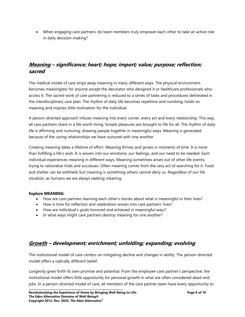When engaging care partners, do team members truly empower each other to take an active role in daily decision-making?

# **Meaning – significance; heart; hope; import; value; purpose; reflection; sacred**

The medical model of care strips away meaning in many different ways. The physical environment becomes meaningless for anyone except the decorator who designed it or healthcare professionals who access it. The sacred work of care partnering is reduced to a series of tasks and procedures delineated in the interdisciplinary care plan. The rhythm of daily life becomes repetitive and numbing, holds no meaning and inspires little motivation for the individual.

A person-directed approach infuses meaning into every corner, every act and every relationship. This way, all care partners share in a life worth living. Simple pleasures are brought to life for all. The rhythm of daily life is affirming and nurturing, drawing people together in meaningful ways. Meaning is generated because of the caring relationships we have nurtured with one another.

Creating meaning takes a lifetime of effort. Meaning thrives and grows in moments of time. It is more than fulfilling a life's wish. It is woven into our emotions, our feelings, and our need to be needed. Each individual experiences meaning in different ways. Meaning sometimes arises out of other life events; trying to rationalize trials and successes. Often meaning comes from the very act of searching for it. Food and shelter can be withheld, but meaning is something others cannot deny us. Regardless of our life situation, as humans we are always seeking meaning.

#### **Explore MEANING:**

- How are care partners learning each other's stories about what is meaningful in their lives?
- How is time for reflection and celebration woven into care partners' lives?
- How are individual's goals honored and achieved in meaningful ways?
- In what ways might care partners destroy meaning for one another?

# **Growth – development; enrichment; unfolding; expanding; evolving**

The institutional model of care centers on mitigating decline and changes in ability. The person-directed model offers a radically different belief.

Longevity gives forth its own promise and potential. From the employee care partner's perspective, the institutional model offers little opportunity for personal growth in what are often considered dead-end jobs. In a person-directed model of care, all members of the care partner team have every opportunity to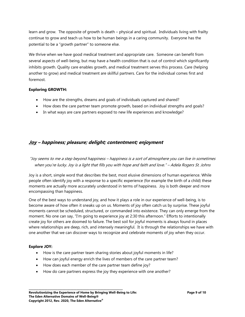learn and grow. The opposite of growth is death – physical and spiritual. Individuals living with frailty continue to grow and teach us how to be human beings in a caring community. Everyone has the potential to be a "growth partner" to someone else.

We thrive when we have good medical treatment and appropriate care. Someone can benefit from several aspects of well-being, but may have a health condition that is out of control which significantly inhibits growth. Quality care enables growth, and medical treatment serves this process. Care (helping another to grow) and medical treatment are skillful partners. Care for the individual comes first and foremost.

#### **Exploring GROWTH:**

- How are the strengths, dreams and goals of individuals captured and shared?
- How does the care partner team promote growth, based on individual strengths and goals?
- In what ways are care partners exposed to new life experiences and knowledge?

## **Joy – happiness; pleasure; delight; contentment; enjoyment**

## "Joy seems to me a step beyond happiness – happiness is a sort of atmosphere you can live in sometimes when you're lucky. Joy is a light that fills you with hope and faith and love." – Adela Rogers St. Johns

Joy is a short, simple word that describes the best, most elusive dimensions of human experience. While people often identify joy with a response to a specific experience (for example the birth of a child) these moments are actually more accurately understood in terms of happiness. Joy is both deeper and more encompassing than happiness.

One of the best ways to understand joy, and how it plays a role in our experience of well-being, is to become aware of how often it sneaks up on us. Moments of joy often catch us by surprise. These joyful moments cannot be scheduled, structured, or commanded into existence. They can only emerge from the moment. No one can say, "I'm going to experience joy at 2:30 this afternoon." Efforts to intentionally create joy for others are doomed to failure. The best soil for joyful moments is always found in places where relationships are deep, rich, and intensely meaningful. It is through the relationships we have with one another that we can discover ways to recognize and celebrate moments of joy when they occur.

#### **Explore JOY:**

- How is the care partner team sharing stories about joyful moments in life?
- How can joyful energy enrich the lives of members of the care partner team?
- How does each member of the care partner team define joy?
- How do care partners express the joy they experience with one another?